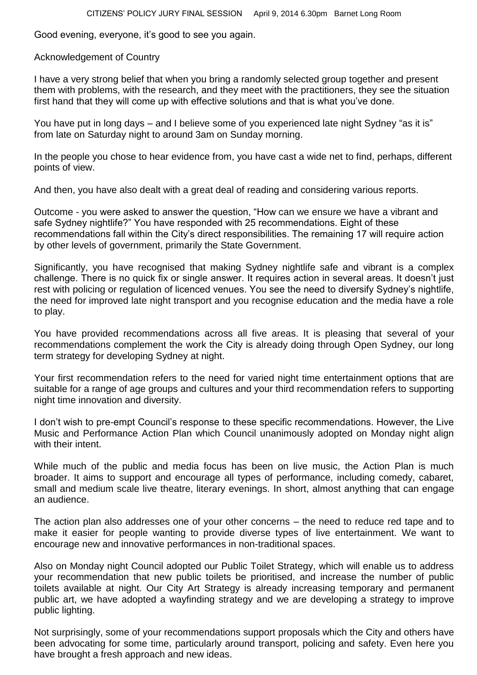Good evening, everyone, it's good to see you again.

## Acknowledgement of Country

I have a very strong belief that when you bring a randomly selected group together and present them with problems, with the research, and they meet with the practitioners, they see the situation first hand that they will come up with effective solutions and that is what you've done.

You have put in long days – and I believe some of you experienced late night Sydney "as it is" from late on Saturday night to around 3am on Sunday morning.

In the people you chose to hear evidence from, you have cast a wide net to find, perhaps, different points of view.

And then, you have also dealt with a great deal of reading and considering various reports.

Outcome - you were asked to answer the question, "How can we ensure we have a vibrant and safe Sydney nightlife?" You have responded with 25 recommendations. Eight of these recommendations fall within the City's direct responsibilities. The remaining 17 will require action by other levels of government, primarily the State Government.

Significantly, you have recognised that making Sydney nightlife safe and vibrant is a complex challenge. There is no quick fix or single answer. It requires action in several areas. It doesn't just rest with policing or regulation of licenced venues. You see the need to diversify Sydney's nightlife, the need for improved late night transport and you recognise education and the media have a role to play.

You have provided recommendations across all five areas. It is pleasing that several of your recommendations complement the work the City is already doing through Open Sydney, our long term strategy for developing Sydney at night.

Your first recommendation refers to the need for varied night time entertainment options that are suitable for a range of age groups and cultures and your third recommendation refers to supporting night time innovation and diversity.

I don't wish to pre-empt Council's response to these specific recommendations. However, the Live Music and Performance Action Plan which Council unanimously adopted on Monday night align with their intent.

While much of the public and media focus has been on live music, the Action Plan is much broader. It aims to support and encourage all types of performance, including comedy, cabaret, small and medium scale live theatre, literary evenings. In short, almost anything that can engage an audience.

The action plan also addresses one of your other concerns – the need to reduce red tape and to make it easier for people wanting to provide diverse types of live entertainment. We want to encourage new and innovative performances in non-traditional spaces.

Also on Monday night Council adopted our Public Toilet Strategy, which will enable us to address your recommendation that new public toilets be prioritised, and increase the number of public toilets available at night. Our City Art Strategy is already increasing temporary and permanent public art, we have adopted a wayfinding strategy and we are developing a strategy to improve public lighting.

Not surprisingly, some of your recommendations support proposals which the City and others have been advocating for some time, particularly around transport, policing and safety. Even here you have brought a fresh approach and new ideas.